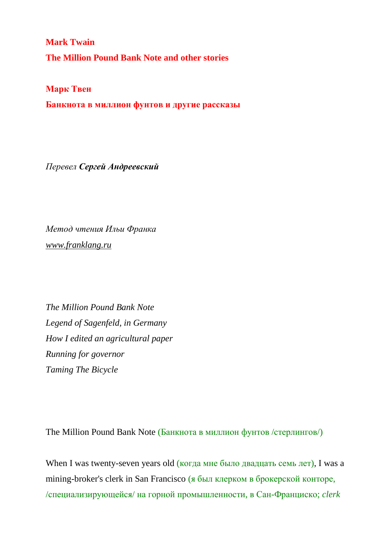**Mark Twain The Million Pound Bank Note and other stories**

**Марк Твен**

**Банкнота в миллион фунтов и другие рассказы**

*Перевел Сергей Андреевский*

*Метод чтения Ильи Франка [www.franklang.ru](http://www.franklang.ru/)*

*The Million Pound Bank Note Legend of Sagenfeld, in Germany How I edited an agricultural paper Running for governor Taming The Bicycle*

The Million Pound Bank Note (Банкнота в миллион фунтов /стерлингов/)

When I was twenty-seven years old (когда мне было двадцать семь лет), I was a mining-broker's clerk in San Francisco (я был клерком в брокерской конторе, /специализирующейся/ на горной промышленности, в Сан-Франциско; *clerk*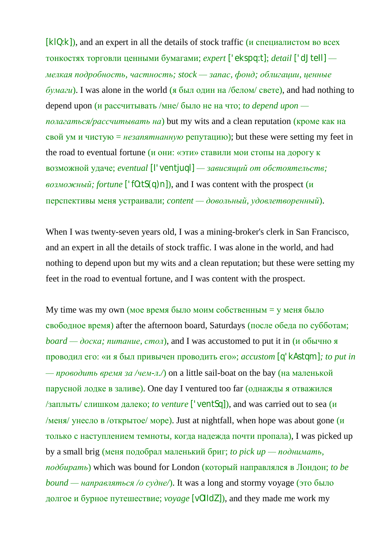$[k|Q:k]$ ), and an expert in all the details of stock traffic (*и* специалистом во всех тонкостях торговли ценными бумагами; *expert* ['ekspq:t]; *detail* ['dJteIl]  *мелкая подробность, частность; stock — запас, фонд; облигации, ценные бумаги*). I was alone in the world (я был один на /белом/ свете), and had nothing to depend upon (и рассчитывать /мне/ было не на что; *to depend upon полагаться/рассчитывать на*) but my wits and a clean reputation (кроме как на свой ум и чистую = *незапятнанную* репутацию); but these were setting my feet in the road to eventual fortune (и они: «эти» ставили мои стопы на дорогу к возможной удаче; *eventual* [I'ventjuql] *— зависящий от обстоятельств; возможный; fortune* ['fO:tS(q)n]), and I was content with the prospect (и перспективы меня устраивали; *content — довольный, удовлетворенный*).

When I was twenty-seven years old, I was a mining-broker's clerk in San Francisco, and an expert in all the details of stock traffic. I was alone in the world, and had nothing to depend upon but my wits and a clean reputation; but these were setting my feet in the road to eventual fortune, and I was content with the prospect.

My time was my own (мое время было моим собственным  $=$  у меня было свободное время) after the afternoon board, Saturdays (после обеда по субботам; *board* — *доска; питание, стол*), and I was accustomed to put it in (и обычно я проводил его: «и я был привычен проводить его»; *accustom* [q'kAstqm]*; to put in — проводить время за /чем-л./*) on a little sail-boat on the bay (на маленькой парусной лодке в заливе). One day I ventured too far (однажды я отважился /заплыть/ слишком далеко; *to venture* ['ventSq]), and was carried out to sea (и /меня/ унесло в /открытое/ море). Just at nightfall, when hope was about gone  $(u$ только с наступлением темноты, когда надежда почти пропала), I was picked up by a small brig (меня подобрал маленький бриг; *to pick up — поднимать, подбирать*) which was bound for London (который направлялся в Лондон; *to be bound — направляться /о судне/*). It was a long and stormy voyage (это было долгое и бурное путешествие; *voyage* [vOIIdZ]), and they made me work my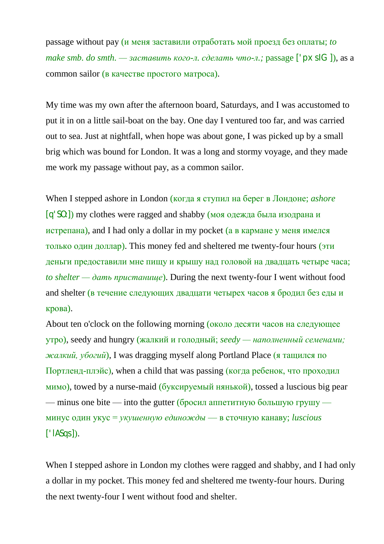passage without pay (и меня заставили отработать мой проезд без оплаты; *to make smb. do smth. — заставить кого-л. сделать что-л.;* passage ['pxsIG]), as a common sailor (в качестве простого матроса).

My time was my own after the afternoon board, Saturdays, and I was accustomed to put it in on a little sail-boat on the bay. One day I ventured too far, and was carried out to sea. Just at nightfall, when hope was about gone, I was picked up by a small brig which was bound for London. It was a long and stormy voyage, and they made me work my passage without pay, as a common sailor.

When I stepped ashore in London (когда я ступил на берег в Лондоне; *ashore* [q'SO:]) my clothes were ragged and shabby (моя одежда была изодрана и истрепана), and I had only a dollar in my pocket (а в кармане у меня имелся только один доллар). This money fed and sheltered me twenty-four hours (эти деньги предоставили мне пищу и крышу над головой на двадцать четыре часа; *to shelter — дать пристанище*). During the next twenty-four I went without food and shelter (в течение следующих двадцати четырех часов я бродил без еды и крова).

About ten o'clock on the following morning (около десяти часов на следующее утро), seedy and hungry (жалкий и голодный; *seedy — наполненный семенами; жалкий, убогий*), I was dragging myself along Portland Place (я тащился по Портленд-плэйс), when a child that was passing (когда ребенок, что проходил мимо), towed by a nurse-maid (буксируемый нянькой), tossed a luscious big pear — minus one bite — into the gutter (бросил аппетитную большую грушу минус один укус = *укушенную единожды* — в сточную канаву; *luscious*  $[$ ' $|$ ASqs]).

When I stepped ashore in London my clothes were ragged and shabby, and I had only a dollar in my pocket. This money fed and sheltered me twenty-four hours. During the next twenty-four I went without food and shelter.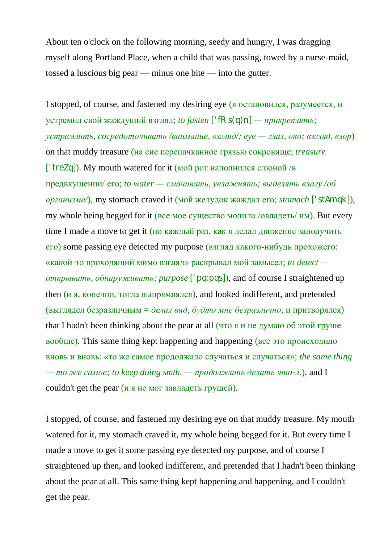About ten o'clock on the following morning, seedy and hungry, I was dragging myself along Portland Place, when a child that was passing, towed by a nurse-maid, tossed a luscious big pear — minus one bite — into the gutter.

I stopped, of course, and fastened my desiring eye (я остановился, разумеется, и устремил свой жаждущий взгляд; *to fasten* ['fRs(q)n] *— прикреплять; устремлять, сосредоточивать /внимание, взгляд/; eye — глаз, око; взгляд, взор*) on that muddy treasure (на сие перепачканное грязью сокровище; *treasure*  $['treZq]$ ). My mouth watered for it (мой рот наполнился слюной /в предвкушении/ его; *to water — смачивать, увлажнять; выделять влагу /об организме/*), my stomach craved it (мой желудок жаждал его; *stomach* ['stAmqk]), my whole being begged for it (все мое существо молило /овладеть/ им). But every time I made a move to get it (но каждый раз, как я делал движение заполучить его) some passing eye detected my purpose (взгляд какого-нибудь прохожего: «какой-то проходящий мимо взгляд» раскрывал мой замысел; *to detect открывать, обнаруживать; purpose* ['pq:pqs]), and of course I straightened up then (и я, конечно, тогда выпрямлялся), and looked indifferent, and pretended (выглядел безразличным = *делал вид, будто мне безразлично*, и притворялся) that I hadn't been thinking about the pear at all (что я и не думаю об этой груше вообще). This same thing kept happening and happening (все это происходило вновь и вновь: «то же самое продолжало случаться и случаться»; *the same thing — то же самое; to keep doing smth. — продолжать делать что-л.*), and I couldn't get the pear (и я не мог завладеть грушей).

I stopped, of course, and fastened my desiring eye on that muddy treasure. My mouth watered for it, my stomach craved it, my whole being begged for it. But every time I made a move to get it some passing eye detected my purpose, and of course I straightened up then, and looked indifferent, and pretended that I hadn't been thinking about the pear at all. This same thing kept happening and happening, and I couldn't get the pear.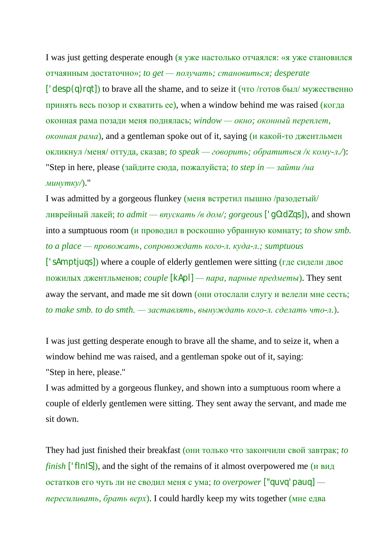I was just getting desperate enough (я уже настолько отчаялся: «я уже становился отчаянным достаточно»; *to get — получать; становиться; desperate* [ $'$ desp(q)rqt]) to brave all the shame, and to seize it (что /готов был/ мужественно принять весь позор и схватить ее), when a window behind me was raised (когда оконная рама позади меня поднялась; *window — окно; оконный переплет, оконная рама*), and a gentleman spoke out of it, saying (и какой-то джентльмен окликнул /меня/ оттуда, сказав; *to speak — говорить; обратиться /к кому-л./*): "Step in here, please (зайдите сюда, пожалуйста; *to step in — зайти /на минутку/*)."

I was admitted by a gorgeous flunkey (меня встретил пышно /разодетый/ ливрейный лакей; *to admit — впускать /в дом/; gorgeous* ['gO:dZqs]), and shown into a sumptuous room (и проводил в роскошно убранную комнату; *to show smb. to a place — провожать, сопровождать кого-л. куда-л.; sumptuous* ['sAmptjuqs]) where a couple of elderly gentlemen were sitting (где сидели двое пожилых джентльменов; *couple* [kApl] *— пара, парные предметы*). They sent away the servant, and made me sit down (они отослали слугу и велели мне сесть; *to make smb. to do smth. — заставлять, вынуждать кого-л. сделать что-л.*).

I was just getting desperate enough to brave all the shame, and to seize it, when a window behind me was raised, and a gentleman spoke out of it, saying: "Step in here, please."

I was admitted by a gorgeous flunkey, and shown into a sumptuous room where a couple of elderly gentlemen were sitting. They sent away the servant, and made me sit down.

They had just finished their breakfast (они только что закончили свой завтрак; *to finish* ['flnlS]), and the sight of the remains of it almost overpowered me (и вид остатков его чуть ли не сводил меня с ума; *to overpower* ["quvq'pauq]  *пересиливать, брать верх*). I could hardly keep my wits together (мне едва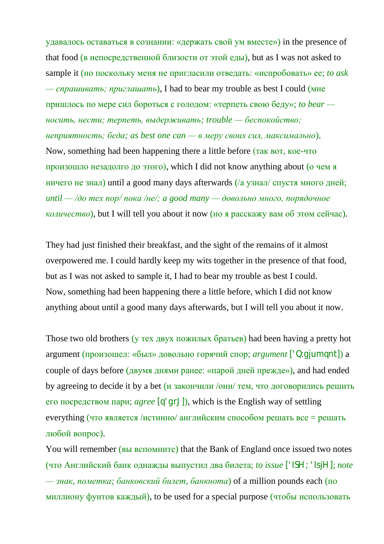удавалось оставаться в сознании: «держать свой ум вместе») in the presence of that food (в непосредственной близости от этой еды), but as I was not asked to sample it (но поскольку меня не пригласили отведать: «испробовать» ее; *to ask — спрашивать; приглашать*), I had to bear my trouble as best I could (мне пришлось по мере сил бороться с голодом: «терпеть свою беду»; *to bear носить, нести; терпеть, выдерживать; trouble — беспокойство; неприятность; беда; as best one can — в меру своих сил, максимально*). Now, something had been happening there a little before (так вот, кое-что произошло незадолго до этого), which I did not know anything about (о чем я ничего не знал) until a good many days afterwards (/а узнал/ спустя много дней; *until — /до тех пор/ пока /не/; a good many — довольно много, порядочное количество*), but I will tell you about it now (но я расскажу вам об этом сейчас).

They had just finished their breakfast, and the sight of the remains of it almost overpowered me. I could hardly keep my wits together in the presence of that food, but as I was not asked to sample it, I had to bear my trouble as best I could. Now, something had been happening there a little before, which I did not know anything about until a good many days afterwards, but I will tell you about it now.

Those two old brothers (у тех двух пожилых братьев) had been having a pretty hot argument (произошел: «был» довольно горячий спор; *argument* ['Q:gjumqnt]) a couple of days before (двумя днями ранее: «парой дней прежде»), and had ended by agreeing to decide it by a bet (и закончили /они/ тем, что договорились решить его посредством пари; *agree* [q'grJ]), which is the English way of settling everything (что является /истинно/ английским способом решать все = решать любой вопрос).

You will remember (**вы вспомните**) that the Bank of England once issued two notes (что Английский банк однажды выпустил два билета; *to issue* ['ISH; 'IsjH]; *note — знак, пометка; банковский билет, банкнота*) of a million pounds each (по миллиону фунтов каждый), to be used for a special purpose (чтобы использовать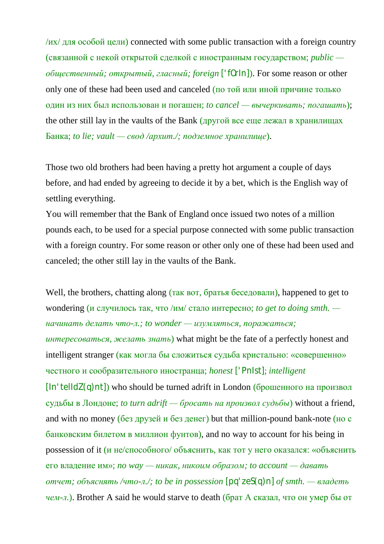$/$ их $/$  для особой цели) connected with some public transaction with a foreign country (связанной с некой открытой сделкой с иностранным государством; *public общественный; открытый, гласный; foreign* ['fOrIn]). For some reason or other only one of these had been used and canceled (по той или иной причине только один из них был использован и погашен; *to cancel — вычеркивать; погашать*); the other still lay in the vaults of the Bank (другой все еще лежал в хранилищах Банка; *to lie; vault — свод /архит./; подземное хранилище*).

Those two old brothers had been having a pretty hot argument a couple of days before, and had ended by agreeing to decide it by a bet, which is the English way of settling everything.

You will remember that the Bank of England once issued two notes of a million pounds each, to be used for a special purpose connected with some public transaction with a foreign country. For some reason or other only one of these had been used and canceled; the other still lay in the vaults of the Bank.

Well, the brothers, chatting along (так вот, братья беседовали), happened to get to wondering (и случилось так, что /им/ стало интересно; *to get to doing smth. начинать делать что-л.; to wonder — изумляться, поражаться; интересоваться, желать знать*) what might be the fate of a perfectly honest and intelligent stranger (как могла бы сложиться судьба кристально: «совершенно» честного и сообразительного иностранца; *honest* ['PnIst]; *intelligent*  $[$ In'telIdZ(q)nt]) who should be turned adrift in London (брошенного на произвол судьбы в Лондоне; *to turn adrift — бросать на произвол судьбы*) without a friend, and with no money (без друзей и без денег) but that million-pound bank-note (но с банковским билетом в миллион фунтов), and no way to account for his being in possession of it (и не/способного/ объяснить, как тот у него оказался: «объяснить его владение им»; *no way — никак, никоим образом; to account — давать отчет; объяснять /что-л./; to be in possession* [pq'zeS(q)n] *of smth. — владеть чем-л.*). Brother A said he would starve to death (брат А сказал, что он умер бы от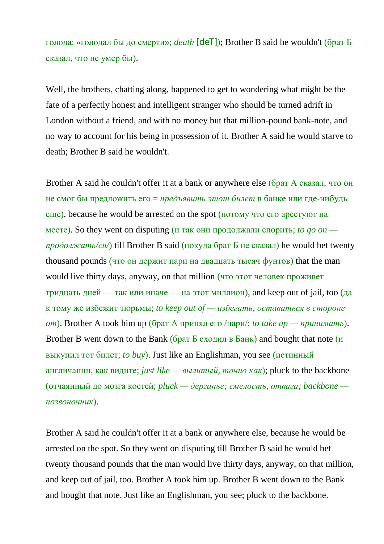голода: «голодал бы до смерти»; *death* [deT]); Brother B said he wouldn't (брат Б сказал, что не умер бы).

Well, the brothers, chatting along, happened to get to wondering what might be the fate of a perfectly honest and intelligent stranger who should be turned adrift in London without a friend, and with no money but that million-pound bank-note, and no way to account for his being in possession of it. Brother A said he would starve to death; Brother B said he wouldn't.

Brother A said he couldn't offer it at a bank or anywhere else (брат А сказал, что он не смог бы предложить его = *предъявить этот билет* в банке или где-нибудь еще), because he would be arrested on the spot (потому что его арестуют на месте). So they went on disputing (*и* так они продолжали спорить; *to go on продолжать/ся/*) till Brother B said (покуда брат Б не сказал) he would bet twenty thousand pounds (что он держит пари на двадцать тысяч фунтов) that the man would live thirty days, anyway, on that million (что этот человек проживет тридцать дней — так или иначе — на этот миллион), and keep out of jail, too (да к тому же избежит тюрьмы; *to keep out of — избегать, оставаться в стороне от*). Brother A took him up (брат А принял его /пари/; *to take up — принимать*). Brother B went down to the Bank (брат Б сходил в Банк) and bought that note (и выкупил тот билет; *to buy*). Just like an Englishman, you see (истинный англичанин, как видите; *just like — вылитый, точно как*); pluck to the backbone (отчаянный до мозга костей; *pluck — дерганье; смелость, отвага; backbone позвоночник*).

Brother A said he couldn't offer it at a bank or anywhere else, because he would be arrested on the spot. So they went on disputing till Brother B said he would bet twenty thousand pounds that the man would live thirty days, anyway, on that million, and keep out of jail, too. Brother A took him up. Brother B went down to the Bank and bought that note. Just like an Englishman, you see; pluck to the backbone.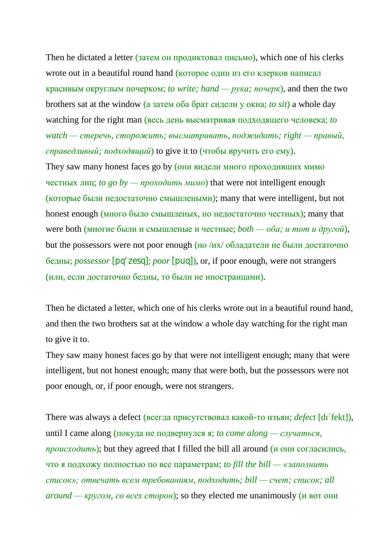Then he dictated a letter (затем он продиктовал письмо), which one of his clerks wrote out in a beautiful round hand (которое один из его клерков написал красивым округлым почерком; *to write; hand — рука; почерк*), and then the two brothers sat at the window (а затем оба брат сидели у окна; *to sit*) a whole day watching for the right man (весь день высматривая подходящего человека; *to watch — стеречь, сторожить; высматривать, поджидать; right — правый, справедливый; подходящий*) to give it to (чтобы вручить его ему).

They saw many honest faces go by (они видели много проходивших мимо честных лиц; *to go by — проходить мимо*) that were not intelligent enough (которые были недостаточно смышлеными); many that were intelligent, but not honest enough (много было смышленых, но недостаточно честных); many that were both (многие были и смышленые и честные; *both — оба; и тот и другой*), but the possessors were not poor enough (но /их/ обладатели не были достаточно бедны; *possessor* [pq'zesq]; *poor* [puq]), or, if poor enough, were not strangers (или, если достаточно бедны, то были не иностранцами).

Then he dictated a letter, which one of his clerks wrote out in a beautiful round hand, and then the two brothers sat at the window a whole day watching for the right man to give it to.

They saw many honest faces go by that were not intelligent enough; many that were intelligent, but not honest enough; many that were both, but the possessors were not poor enough, or, if poor enough, were not strangers.

There was always a defect (всегда присутствовал какой-то изъян; *defect* [dɪˈfekt]), until I came along (покуда не подвернулся я; *to come along — случаться*, *происходить*); but they agreed that I filled the bill all around (и они согласились, что я подхожу полностью по все параметрам; *to fill the bill — «заполнить список»; отвечать всем требованиям, подходить; bill — счет; список; all around — кругом, со всех сторон*); so they elected me unanimously (и вот они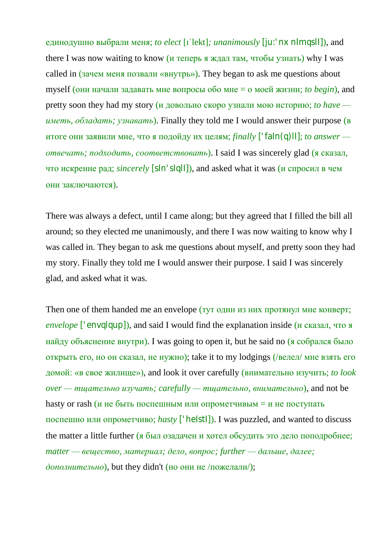единодушно выбрали меня; *to elect* [ɪˈlekt]*; unanimously* [ju:'nxnImqslI]), and there I was now waiting to know (и теперь я ждал там, чтобы узнать) why I was called in (зачем меня позвали «внутрь»). They began to ask me questions about myself (они начали задавать мне вопросы обо мне = о моей жизни; *to begin*), and pretty soon they had my story (и довольно скоро узнали мою историю; *to have иметь, обладать; узнавать*). Finally they told me I would answer their purpose (в итоге они заявили мне, что я подойду их целям; *finally* ['faIn(q)lI]; *to answer отвечать; подходить, соответствовать*). I said I was sincerely glad (я сказал, что искренне рад; *sincerely* [sIn'sIqlI]), and asked what it was (и спросил в чем они заключаются).

There was always a defect, until I came along; but they agreed that I filled the bill all around; so they elected me unanimously, and there I was now waiting to know why I was called in. They began to ask me questions about myself, and pretty soon they had my story. Finally they told me I would answer their purpose. I said I was sincerely glad, and asked what it was.

Then one of them handed me an envelope (*тут один из них протянул мне конверт*; *envelope* ['envqlqup]), and said I would find the explanation inside (и сказал, что я найду объяснение внутри). I was going to open it, but he said no (я собрался было открыть его, но он сказал, не нужно); take it to my lodgings (/велел/ мне взять его домой: «в свое жилище»), and look it over carefully (внимательно изучить; *to look over — тщательно изучать; carefully — тщательно, внимательно*), and not be hasty or rash (и не быть поспешным или опрометчивым = и не поступать поспешно или опрометчиво; *hasty* ['heIstI]). I was puzzled, and wanted to discuss the matter a little further (я был озадачен и хотел обсудить это дело поподробнее; *matter — вещество, материал; дело, вопрос; further — дальше, далее;*   $\phi$ ополнительно), but they didn't (но они не /пожелали/);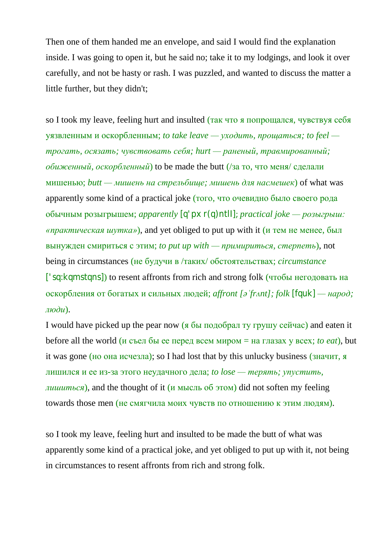Then one of them handed me an envelope, and said I would find the explanation inside. I was going to open it, but he said no; take it to my lodgings, and look it over carefully, and not be hasty or rash. I was puzzled, and wanted to discuss the matter a little further, but they didn't;

so I took my leave, feeling hurt and insulted (так что я попрощался, чувствуя себя уязвленным и оскорбленным; *to take leave — уходить, прощаться; to feel трогать, осязать; чувствовать себя; hurt — раненый, травмированный; обиженный, оскорбленный*) to be made the butt (/за то, что меня/ сделали мишенью; *butt — мишень на стрельбище; мишень для насмешек*) of what was apparently some kind of a practical joke (того, что очевидно было своего рода обычным розыгрышем; *apparently* [q'pxr(q)ntlI]; *practical joke — розыгрыш: «практическая шутка»*), and yet obliged to put up with it (и тем не менее, был вынужден смириться с этим; *to put up with — примириться, стерпеть*), not being in circumstances (не будучи в /таких/ обстоятельствах; *circumstance* ['sq:kqmstqns]) to resent affronts from rich and strong folk (чтобы негодовать на оскорбления от богатых и сильных людей; *affront [əˈfrʌnt]; folk* [fquk] *— народ; люди*).

I would have picked up the pear now (я бы подобрал ту грушу сейчас) and eaten it before all the world (и съел бы ее перед всем миром = на глазах у всех; *to eat*), but it was gone (но она исчезла); so I had lost that by this unlucky business (значит, я лишился и ее из-за этого неудачного дела; *to lose — терять; упустить, лишиться*), and the thought of it (и мысль об этом) did not soften my feeling towards those men (не смягчила моих чувств по отношению к этим людям).

so I took my leave, feeling hurt and insulted to be made the butt of what was apparently some kind of a practical joke, and yet obliged to put up with it, not being in circumstances to resent affronts from rich and strong folk.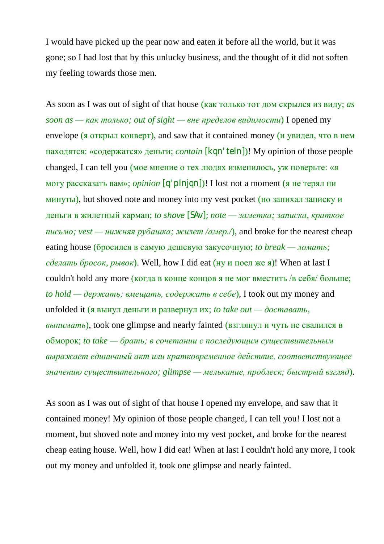I would have picked up the pear now and eaten it before all the world, but it was gone; so I had lost that by this unlucky business, and the thought of it did not soften my feeling towards those men.

As soon as I was out of sight of that house (как только тот дом скрылся из виду; *as*   $\alpha$  *soon as — как только; out of sight — вне пределов видимости*) I opened my envelope (я открыл конверт), and saw that it contained money (и увидел, что в нем находятся: «содержатся» деньги; *contain* [kqn'teIn])! My opinion of those people changed, I can tell you (мое мнение о тех людях изменилось, уж поверьте: «я могу рассказать вам»; *opinion* [q'pInjqn])! I lost not a moment (я не терял ни минуты), but shoved note and money into my vest pocket (но запихал записку и деньги в жилетный карман; *to shove* [SAv]; *note — заметка; записка, краткое письмо; vest — нижняя рубашка; жилет /амер./*), and broke for the nearest cheap eating house (бросился в самую дешевую закусочную; *to break — ломать; сделать бросок, рывок*). Well, how I did eat (ну и поел же я)! When at last I couldn't hold any more (когда в конце концов я не мог вместить /в себя/ больше; *to hold — держать; вмещать, содержать в себе*), I took out my money and unfolded it (я вынул деньги и развернул их; *to take out — доставать, вынимать*), took one glimpse and nearly fainted (взглянул и чуть не свалился в обморок; *to take — брать; в сочетании с последующим существительным выражает единичный акт или кратковременное действие, соответствующее значению существительного; glimpse — мелькание, проблеск; быстрый взгляд*).

As soon as I was out of sight of that house I opened my envelope, and saw that it contained money! My opinion of those people changed, I can tell you! I lost not a moment, but shoved note and money into my vest pocket, and broke for the nearest cheap eating house. Well, how I did eat! When at last I couldn't hold any more, I took out my money and unfolded it, took one glimpse and nearly fainted.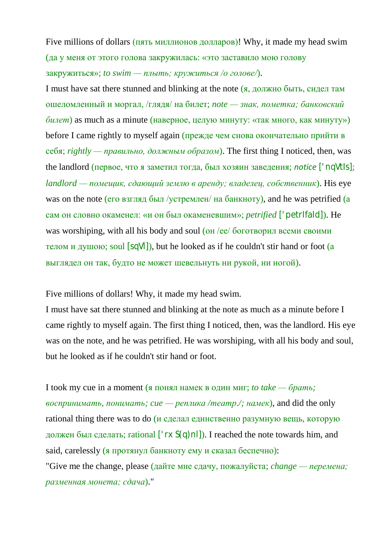Five millions of dollars (пять миллионов долларов)! Why, it made my head swim (да у меня от этого голова закружилась: «это заставило мою голову закружиться»; *to swim — плыть; кружиться /о голове/*).

I must have sat there stunned and blinking at the note (я, должно быть, сидел там ошеломленный и моргал, /глядя/ на билет; *note — знак, пометка; банковский билет*) as much as a minute (наверное, целую минуту: «так много, как минуту») before I came rightly to myself again (прежде чем снова окончательно прийти в себя; *rightly — правильно, должным образом*). The first thing I noticed, then, was the landlord (первое, что я заметил тогда, был хозяин заведения; *notice* ['nqVtIs]; *landlord — помещик, сдающий землю в аренду; владелец, собственник*). His eye was on the note (его взгляд был /устремлен/ на банкноту), and he was petrified (а сам он словно окаменел: «и он был окаменевшим»; *petrified* ['petrIfaId]). He was worshiping, with all his body and soul (он /ее/ боготворил всеми своими телом и душою; soul [sqVl]), but he looked as if he couldn't stir hand or foot (а выглядел он так, будто не может шевельнуть ни рукой, ни ногой).

Five millions of dollars! Why, it made my head swim.

I must have sat there stunned and blinking at the note as much as a minute before I came rightly to myself again. The first thing I noticed, then, was the landlord. His eye was on the note, and he was petrified. He was worshiping, with all his body and soul, but he looked as if he couldn't stir hand or foot.

I took my cue in a moment (я понял намек в один миг; *to take — брать; воспринимать, понимать; cue — реплика /театр./; намек*), and did the only rational thing there was to do (и сделал единственно разумную вещь, которую должен был сделать; rational ['rxS(q)nl]). I reached the note towards him, and said, carelessly (я протянул банкноту ему и сказал беспечно):

"Give me the change, please (дайте мне сдачу, пожалуйста; *change — перемена; разменная монета; сдача*)."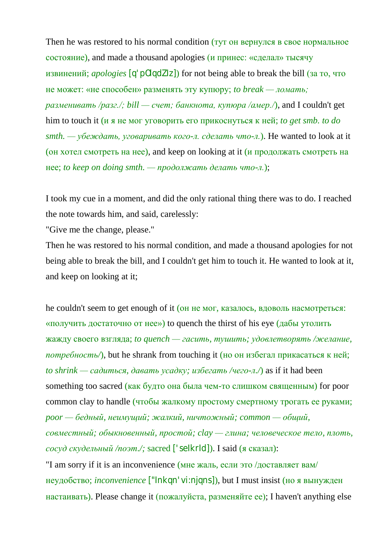Then he was restored to his normal condition (*тут* он вернулся в свое нормальное состояние), and made a thousand apologies (и принес: «сделал» тысячу извинений; *apologies* [q'pOlqdZIz]) for not being able to break the bill (за то, что не может: «не способен» разменять эту купюру; *to break — ломать; разменивать /разг./; bill — счет; банкнота, купюра /амер./*), and I couldn't get him to touch it (и я не мог уговорить его прикоснуться к ней; *to get smb. to do smth. — убеждать, уговаривать кого-л. сделать что-л.*). He wanted to look at it (он хотел смотреть на нее), and keep on looking at it (и продолжать смотреть на нее; *to keep on doing smth. — продолжать делать что-л.*);

I took my cue in a moment, and did the only rational thing there was to do. I reached the note towards him, and said, carelessly:

"Give me the change, please."

Then he was restored to his normal condition, and made a thousand apologies for not being able to break the bill, and I couldn't get him to touch it. He wanted to look at it, and keep on looking at it;

he couldn't seem to get enough of it (он не мог, казалось, вдоволь насмотреться: «получить достаточно от нее») to quench the thirst of his eye (дабы утолить жажду своего взгляда; *to quench — гасить, тушить; удовлетворять /желание,*   $nomp$ ебность/), but he shrank from touching it (но он избегал прикасаться к ней; *to shrink — садиться, давать усадку; избегать /чего-л./*) as if it had been something too sacred (как будто она была чем-то слишком священным) for poor common clay to handle (чтобы жалкому простому смертному трогать ее руками; *poor — бедный, неимущий; жалкий, ничтожный; common — общий, совместный; обыкновенный, простой; clay — глина; человеческое тело, плоть, сосуд скудельный /поэт./;* sacred ['seIkrId]). I said (я сказал): "I am sorry if it is an inconvenience (мне жаль, если это /доставляет вам/

неудобство; *inconvenience* ["Inkqn'vi:njqns]), but I must insist (но я вынужден настаивать). Please change it (пожалуйста, разменяйте ее); I haven't anything else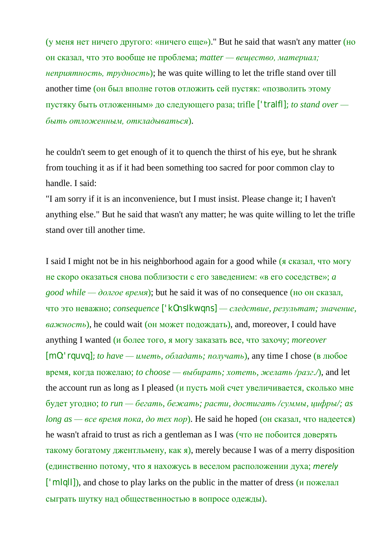(у меня нет ничего другого: «ничего еще»)." But he said that wasn't any matter (но он сказал, что это вообще не проблема; *matter — вещество, материал; неприятность, трудность*); he was quite willing to let the trifle stand over till another time (он был вполне готов отложить сей пустяк: «позволить этому пустяку быть отложенным» до следующего раза; trifle ['traIfl]; *to stand over быть отложенным, откладываться*).

he couldn't seem to get enough of it to quench the thirst of his eye, but he shrank from touching it as if it had been something too sacred for poor common clay to handle. I said:

"I am sorry if it is an inconvenience, but I must insist. Please change it; I haven't anything else." But he said that wasn't any matter; he was quite willing to let the trifle stand over till another time.

I said I might not be in his neighborhood again for a good while (я сказал, что могу не скоро оказаться снова поблизости с его заведением: «в его соседстве»; *a good while — долгое время*); but he said it was of no consequence (но он сказал, что это неважно; *consequence* ['kOnsIkwqns] *— следствие, результат; значение, важность*), he could wait (он может подождать), and, moreover, I could have anything I wanted (и более того, я могу заказать все, что захочу; *moreover* [mO:'rquvq]; *to have — иметь, обладать; получать*), any time I chose (в любое время, когда пожелаю; *to choose — выбирать; хотеть, желать /разг./*), and let the account run as long as I pleased (и пусть мой счет увеличивается, сколько мне будет угодно; *to run — бегать, бежать; расти, достигать /суммы, цифры/; as long as — все время пока, до тех пор*). He said he hoped (он сказал, что надеется) he wasn't afraid to trust as rich a gentleman as I was (что не побоится доверять такому богатому джентльмену, как я), merely because I was of a merry disposition (единственно потому, что я нахожусь в веселом расположении духа; *merely* ['m|q||]), and chose to play larks on the public in the matter of dress  $(\mu$  пожелал сыграть шутку над общественностью в вопросе одежды).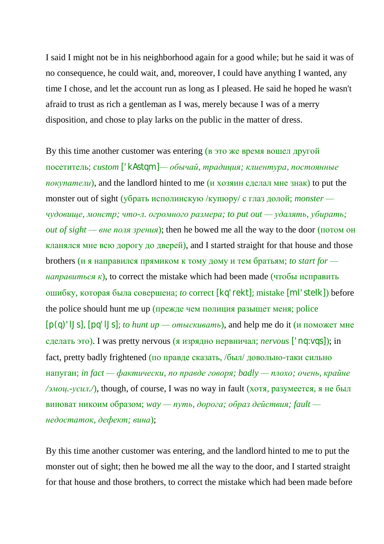I said I might not be in his neighborhood again for a good while; but he said it was of no consequence, he could wait, and, moreover, I could have anything I wanted, any time I chose, and let the account run as long as I pleased. He said he hoped he wasn't afraid to trust as rich a gentleman as I was, merely because I was of a merry disposition, and chose to play larks on the public in the matter of dress.

By this time another customer was entering (в это же время вошел другой посетитель; *custom* ['kAstqm]*— обычай, традиция; клиентура, постоянные покупатели*), and the landlord hinted to me (и хозяин сделал мне знак) to put the monster out of sight (убрать исполинскую /купюру/ с глаз долой; *monster чудовище, монстр; что-л. огромного размера; to put out — удалять, убирать; out of sight — вне поля зрения*); then he bowed me all the way to the door (потом он кланялся мне всю дорогу до дверей), and I started straight for that house and those brothers (и я направился прямиком к тому дому и тем братьям; *to start for направиться*  $\kappa$ ), to correct the mistake which had been made (чтобы исправить ошибку, которая была совершена; *to* correct [kq'rekt]; mistake [mI'steIk]) before the police should hunt me up (прежде чем полиция разыщет меня; police [p(q)'lJs], [pq'lJs]; *to hunt up — отыскивать*), and help me do it (и поможет мне сделать это). I was pretty nervous (я изрядно нервничал; *nervous* ['nq:vqs]); in fact, pretty badly frightened (по правде сказать, /был/ довольно-таки сильно напуган; *in fact — фактически, по правде говоря; badly — плохо; очень, крайне*  $\sqrt{3MQ}$ ,  $\gamma$  cun.  $\sqrt{2}$ , though, of course, I was no way in fault (хотя, разумеется, я не был виноват никоим образом; *way — путь, дорога; образ действия; fault недостаток, дефект; вина*);

By this time another customer was entering, and the landlord hinted to me to put the monster out of sight; then he bowed me all the way to the door, and I started straight for that house and those brothers, to correct the mistake which had been made before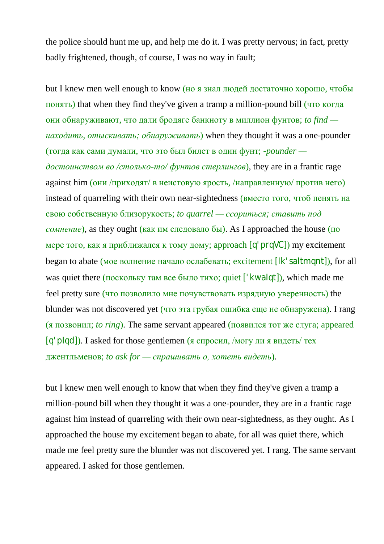the police should hunt me up, and help me do it. I was pretty nervous; in fact, pretty badly frightened, though, of course, I was no way in fault;

but I knew men well enough to know (но я знал людей достаточно хорошо, чтобы понять) that when they find they've given a tramp a million-pound bill (что когда они обнаруживают, что дали бродяге банкноту в миллион фунтов; *to find находить, отыскивать; обнаруживать*) when they thought it was a one-pounder (тогда как сами думали, что это был билет в один фунт; *-pounder достоинством во /столько-то/ фунтов стерлингов*), they are in a frantic rage against him (они /приходят/ в неистовую ярость, /направленную/ против него) instead of quarreling with their own near-sightedness (вместо того, чтоб пенять на свою собственную близорукость; *to quarrel — ссориться; ставить под сомнение*), as they ought (как им следовало бы). As I approached the house (по мере того, как я приближался к тому дому; approach [q'prqVC]) my excitement began to abate (мое волнение начало ослабевать; excitement [Ik'saltmqnt]), for all was quiet there (поскольку там все было тихо; quiet ['kwalqt]), which made me feel pretty sure (что позволило мне почувствовать изрядную уверенность) the blunder was not discovered yet (что эта грубая ошибка еще не обнаружена). I rang (я позвонил; *to ring*). The same servant appeared (появился тот же слуга; appeared  $[q'p|q]$ ). I asked for those gentlemen (я спросил, /могу ли я видеть/ тех джентльменов; *to ask for — спрашивать о, хотеть видеть*).

but I knew men well enough to know that when they find they've given a tramp a million-pound bill when they thought it was a one-pounder, they are in a frantic rage against him instead of quarreling with their own near-sightedness, as they ought. As I approached the house my excitement began to abate, for all was quiet there, which made me feel pretty sure the blunder was not discovered yet. I rang. The same servant appeared. I asked for those gentlemen.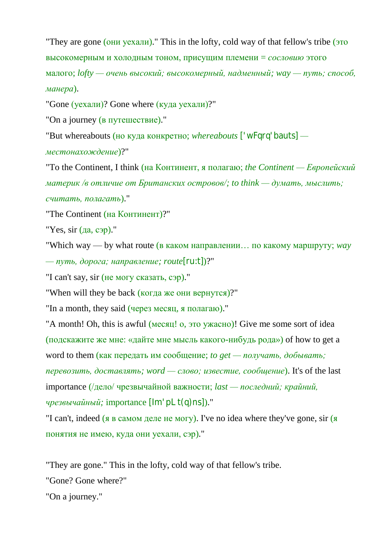"They are gone (они уехали)." This in the lofty, cold way of that fellow's tribe (это высокомерным и холодным тоном, присущим племени = *сословию* этого малого; *lofty — очень высокий; высокомерный, надменный; way — путь; способ, манера*).

"Gone (уехали)? Gone where (куда уехали)?"

"On a journey (в путешествие)."

"But whereabouts (но куда конкретно; *whereabouts* ['wFqrq'bauts] *—*

*местонахождение*)?"

"To the Continent, I think (на Континент, я полагаю; *the Continent — Европейский материк /в отличие от Британских островов/; to think — думать, мыслить; считать, полагать*)."

"The Continent (на Континент)?"

"Yes, sir (да, сэр)."

"Which way — by what route (в каком направлении… по какому маршруту; *way — путь, дорога; направление; route*[ru:t])?"

"I can't say, sir (не могу сказать, сэр)."

"When will they be back (когда же они вернутся)?"

"In a month, they said (через месяц, я полагаю)."

"A month! Oh, this is awful (месяц! о, это ужасно)! Give me some sort of idea (подскажите же мне: «дайте мне мысль какого-нибудь рода») of how to get a

word to them (как передать им сообщение; *to get — получать, добывать;* 

*перевозить, доставлять; word — слово; известие, сообщение*). It's of the last importance (/дело/ чрезвычайной важности; *last — последний; крайний,* 

*чрезвычайный;* importance [lm'pLt(q)ns])."

"I can't, indeed (я в самом деле не могу). I've no idea where they've gone, sir (я понятия не имею, куда они уехали, сэр)."

"They are gone." This in the lofty, cold way of that fellow's tribe.

"Gone? Gone where?"

"On a journey."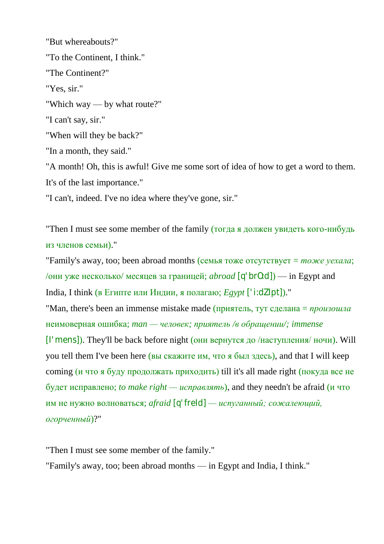"But whereabouts?" "To the Continent, I think." "The Continent?" "Yes, sir." "Which way — by what route?" "I can't say, sir." "When will they be back?" "In a month, they said." "A month! Oh, this is awful! Give me some sort of idea of how to get a word to them. It's of the last importance." "I can't, indeed. I've no idea where they've gone, sir."

"Then I must see some member of the family (тогда я должен увидеть кого-нибудь из членов семьи)."

"Family's away, too; been abroad months (семья тоже отсутствует = *тоже уехала*; /они уже несколько/ месяцев за границей; *abroad* [q'brO:d]) — in Egypt and India, I think (в Египте или Индии, я полагаю; *Egypt* ['i:dZIpt])." "Man, there's been an immense mistake made (приятель, тут сделана = *произошла* неимоверная ошибка; *man — человек; приятель /в обращении/; immense* [I'mens]). They'll be back before night (они вернутся до /наступления/ ночи). Will you tell them I've been here (вы скажите им, что я был здесь), and that I will keep coming (и что я буду продолжать приходить) till it's all made right (покуда все не будет исправлено; *to make right — исправлять*), and they needn't be afraid (и что им не нужно волноваться; *afraid* [q'freId] *— испуганный; сожалеющий, огорченный*)?"

"Then I must see some member of the family." "Family's away, too; been abroad months — in Egypt and India, I think."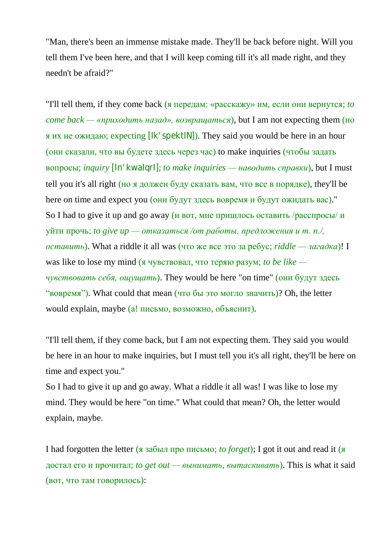"Man, there's been an immense mistake made. They'll be back before night. Will you tell them I've been here, and that I will keep coming till it's all made right, and they needn't be afraid?"

"I'll tell them, if they come back (я передам: «расскажу» им, если они вернутся; *to come back — «приходить назад», возвращаться*), but I am not expecting them (но я их не ожидаю; expecting [Ik'spektIN]). They said you would be here in an hour (они сказали, что вы будете здесь через час) to make inquiries (чтобы задать вопросы; *inquiry* [In'kwaIqrI]; *to make inquiries — наводить справки*), but I must tell you it's all right (но я должен буду сказать вам, что все в порядке), they'll be here on time and expect you (они будут здесь вовремя и будут ожидать вас)." So I had to give it up and go away (*и* вот, мне пришлось оставить /расспросы/ *и* уйти прочь; *to give up — отказаться /от работы, предложения и т. п./, оставить*). What a riddle it all was (что же все это за ребус; *riddle — загадка*)! I was like to lose my mind (я чувствовал, что теряю разум; *to be like чувствовать себя, ощущать*). They would be here "on time" (они будут здесь "вовремя"). What could that mean (что бы это могло значить)? Oh, the letter would explain, maybe (а! письмо, возможно, объяснит).

"I'll tell them, if they come back, but I am not expecting them. They said you would be here in an hour to make inquiries, but I must tell you it's all right, they'll be here on time and expect you."

So I had to give it up and go away. What a riddle it all was! I was like to lose my mind. They would be here "on time." What could that mean? Oh, the letter would explain, maybe.

I had forgotten the letter (я забыл про письмо; *to forget*); I got it out and read it (я достал его и прочитал; *to get out — вынимать, вытаскивать*). This is what it said (вот, что там говорилось):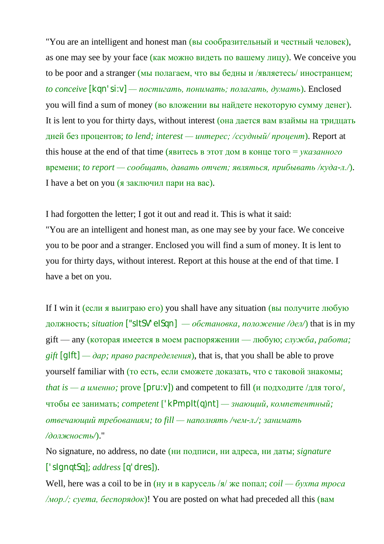"You are an intelligent and honest man (вы сообразительный и честный человек), as one may see by your face (как можно видеть по вашему лицу). We conceive you to be poor and a stranger (мы полагаем, что вы бедны и /являетесь/ иностранцем; *to conceive* [kqn'si:v] *— постигать, понимать; полагать, думать*). Enclosed you will find a sum of money (во вложении вы найдете некоторую сумму денег). It is lent to you for thirty days, without interest (она дается вам взаймы на тридцать дней без процентов; *to lend; interest — интерес; /ссудный/ процент*). Report at this house at the end of that time (явитесь в этот дом в конце того = *указанного* времени; *to report — сообщать, давать отчет; являться, прибывать /куда-л./*). I have a bet on you (я заключил пари на вас).

I had forgotten the letter; I got it out and read it. This is what it said: "You are an intelligent and honest man, as one may see by your face. We conceive you to be poor and a stranger. Enclosed you will find a sum of money. It is lent to you for thirty days, without interest. Report at this house at the end of that time. I have a bet on you.

If I win it (если я выиграю его) you shall have any situation (вы получите любую должность; *situation* ["sItSV'eISqn] *— обстановка, положение /дел/*) that is in my gift — any (которая имеется в моем распоряжении — любую; *служба, работа;*   $g$ *ift* [g|ft] —  $\partial ap$ ; *право распределения*), that is, that you shall be able to prove yourself familiar with (то есть, если сможете доказать, что с таковой знакомы; *that is* — *а именно;* prove [pru:v]) and competent to fill (и подходите /для того/, чтобы ее занимать; *competent* ['kPmpIt(q)nt] *— знающий, компетентный; отвечающий требованиям; to fill — наполнять /чем-л./; занимать /должность/*)."

No signature, no address, no date (ни подписи, ни адреса, ни даты; *signature* ['sIgnqtSq]; *address* [q'dres]).

Well, here was a coil to be in (ну и в карусель /я/ же попал; *coil — бухта троса /мор./; суета, беспорядок*)! You are posted on what had preceded all this (вам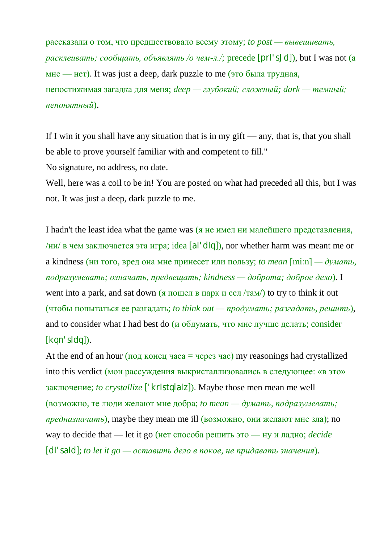рассказали о том, что предшествовало всему этому; *to post — вывешивать, расклеивать; сообщать, объявлять /о чем-л./;* precede [prI'sJd]), but I was not (а мне — нет). It was just a deep, dark puzzle to me (это была трудная, непостижимая загадка для меня; *deep — глубокий; сложный; dark — темный; непонятный*).

If I win it you shall have any situation that is in my gift — any, that is, that you shall be able to prove yourself familiar with and competent to fill."

No signature, no address, no date.

Well, here was a coil to be in! You are posted on what had preceded all this, but I was not. It was just a deep, dark puzzle to me.

I hadn't the least idea what the game was (я не имел ни малейшего представления, /ни/ в чем заключается эта игра; idea [al'dlq]), nor whether harm was meant me or a kindness (ни того, вред она мне принесет или пользу; *to mean* [miːn] *— думать, подразумевать; означать, предвещать; kindness — доброта; доброе дело*). I went into a park, and sat down (я пошел в парк и сел /там/) to try to think it out (чтобы попытаться ее разгадать; *to think out — продумать; разгадать, решить*), and to consider what I had best do (и обдумать, что мне лучше делать; consider [kqn'sIdq]).

At the end of an hour (под конец часа = через час) my reasonings had crystallized into this verdict (мои рассуждения выкристаллизовались в следующее: «в это» заключение; *to crystallize* ['krIstqlaIz]). Maybe those men mean me well (возможно, те люди желают мне добра; *to mean — думать, подразумевать; предназначать*), maybe they mean me ill (возможно, они желают мне зла); no way to decide that — let it go (нет способа решить это — ну и ладно; *decide* [dI'saId]; *to let it go — оставить дело в покое, не придавать значения*).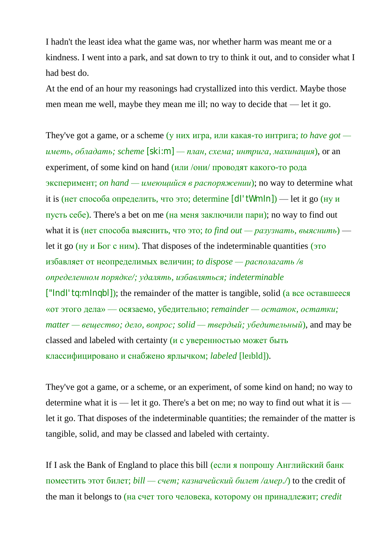I hadn't the least idea what the game was, nor whether harm was meant me or a kindness. I went into a park, and sat down to try to think it out, and to consider what I had best do.

At the end of an hour my reasonings had crystallized into this verdict. Maybe those men mean me well, maybe they mean me ill; no way to decide that — let it go.

They've got a game, or a scheme (у них игра, или какая-то интрига; *to have got иметь, обладать; scheme* [ski:m] *— план, схема; интрига, махинация*), or an experiment, of some kind on hand (или /они/ проводят какого-то рода эксперимент; *on hand — имеющийся в распоряжении*); no way to determine what it is (нет способа определить, что это; determine [dl'tWmln]) — let it go (ну и пусть себе). There's a bet on me  $(Ha$  меня заключили пари); no way to find out what it is (нет способа выяснить, что это; *to find out — разузнать, выяснить*) let it go (ну и Бог с ним). That disposes of the indeterminable quantities (это избавляет от неопределимых величин; *to dispose — располагать /в определенном порядке/; удалять, избавляться; indeterminable* ["IndI'tq:mInqbl]); the remainder of the matter is tangible, solid (а все оставшееся «от этого дела» — осязаемо, убедительно; *remainder — остаток, остатки; matter — вещество; дело, вопрос; solid — твердый; убедительный*), and may be classed and labeled with certainty (и с уверенностью может быть классифицировано и снабжено ярлычком; *labeled* [leɪbld]).

They've got a game, or a scheme, or an experiment, of some kind on hand; no way to determine what it is — let it go. There's a bet on me; no way to find out what it is let it go. That disposes of the indeterminable quantities; the remainder of the matter is tangible, solid, and may be classed and labeled with certainty.

If I ask the Bank of England to place this bill (если я попрошу Английский банк поместить этот билет; *bill — счет; казначейский билет /амер./*) to the credit of the man it belongs to (на счет того человека, которому он принадлежит; *credit*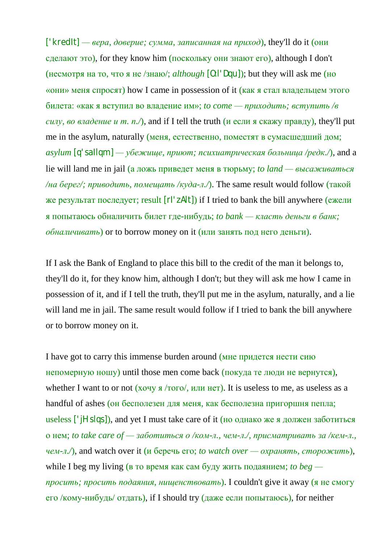['kredIt] *— вера, доверие; сумма, записанная на приход*), they'll do it (они сделают это), for they know him (поскольку они знают его), although I don't (несмотря на то, что я не /знаю/; *although* [O:l'Dqu]); but they will ask me (но «они» меня спросят) how I came in possession of it (как я стал владельцем этого билета: «как я вступил во владение им»; *to come — приходить; вступить /в силу, во владение и т. п./*), and if I tell the truth (*и* если я скажу правду), they'll put me in the asylum, naturally (меня, естественно, поместят в сумасшедший дом;  $a$ sylum  $[q'$ sallqm $]$  — *убежище, приют; психиатрическая больница /редк.*/), and a lie will land me in jail (а ложь приведет меня в тюрьму; *to land — высаживаться /на берег/; приводить, помещать /куда-л./*). The same result would follow (такой же результат последует; result [rI'zAlt]) if I tried to bank the bill anywhere (ежели я попытаюсь обналичить билет где-нибудь; *to bank — класть деньги в банк; обналичивать*) or to borrow money on it (или занять под него деньги).

If I ask the Bank of England to place this bill to the credit of the man it belongs to, they'll do it, for they know him, although I don't; but they will ask me how I came in possession of it, and if I tell the truth, they'll put me in the asylum, naturally, and a lie will land me in jail. The same result would follow if I tried to bank the bill anywhere or to borrow money on it.

I have got to carry this immense burden around (мне придется нести сию непомерную ношу) until those men come back (покуда те люди не вернутся), whether I want to or not  $(xoyyg/Toro/$ ,  $xJyH HET)$ . It is useless to me, as useless as a handful of ashes (он бесполезен для меня, как бесполезна пригоршня пепла; useless ['jHslqs]), and yet I must take care of it (но однако же я должен заботиться о нем; *to take care of — заботиться о /ком-л., чем-л./, присматривать за /кем-л., чем-л./*), and watch over it (и беречь его; *to watch over — охранять, сторожить*), while I beg my living (в то время как сам буду жить подаянием; *to beg просить; просить подаяния, нищенствовать*). I couldn't give it away (я не смогу его /кому-нибудь/ отдать), if I should try (даже если попытаюсь), for neither